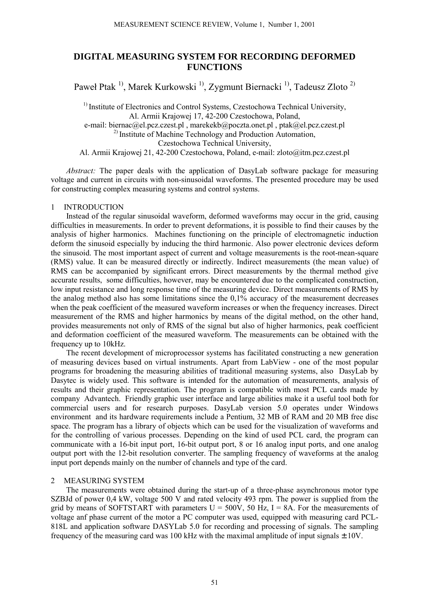# **DIGITAL MEASURING SYSTEM FOR RECORDING DEFORMED FUNCTIONS**

Paweł Ptak<sup>1)</sup>, Marek Kurkowski<sup>1)</sup>, Zygmunt Biernacki<sup>1)</sup>, Tadeusz Zloto<sup>2)</sup>

<sup>1)</sup> Institute of Electronics and Control Systems, Czestochowa Technical University, Al. Armii Krajowej 17, 42-200 Czestochowa, Poland, e-mail: biernac@el.pcz.czest.pl , marekekb@poczta.onet.pl , ptak@el.pcz.czest.pl <sup>2)</sup> Institute of Machine Technology and Production Automation, Czestochowa Technical University,

Al. Armii Krajowej 21, 42-200 Czestochowa, Poland, e-mail: zloto@itm.pcz.czest.pl

*Abstract:* The paper deals with the application of DasyLab software package for measuring voltage and current in circuits with non-sinusoidal waveforms. The presented procedure may be used for constructing complex measuring systems and control systems.

## 1 INTRODUCTION

Instead of the regular sinusoidal waveform, deformed waveforms may occur in the grid, causing difficulties in measurements. In order to prevent deformations, it is possible to find their causes by the analysis of higher harmonics. Machines functioning on the principle of electromagnetic induction deform the sinusoid especially by inducing the third harmonic. Also power electronic devices deform the sinusoid. The most important aspect of current and voltage measurements is the root-mean-square (RMS) value. It can be measured directly or indirectly. Indirect measurements (the mean value) of RMS can be accompanied by significant errors. Direct measurements by the thermal method give accurate results, some difficulties, however, may be encountered due to the complicated construction, low input resistance and long response time of the measuring device. Direct measurements of RMS by the analog method also has some limitations since the 0,1% accuracy of the measurement decreases when the peak coefficient of the measured waveform increases or when the frequency increases. Direct measurement of the RMS and higher harmonics by means of the digital method, on the other hand, provides measurements not only of RMS of the signal but also of higher harmonics, peak coefficient and deformation coefficient of the measured waveform. The measurements can be obtained with the frequency up to 10kHz.

The recent development of microprocessor systems has facilitated constructing a new generation of measuring devices based on virtual instruments. Apart from LabView - one of the most popular programs for broadening the measuring abilities of traditional measuring systems, also DasyLab by Dasytec is widely used. This software is intended for the automation of measurements, analysis of results and their graphic representation. The program is compatible with most PCL cards made by company Advantech. Friendly graphic user interface and large abilities make it a useful tool both for commercial users and for research purposes. DasyLab version 5.0 operates under Windows environment and its hardware requirements include a Pentium, 32 MB of RAM and 20 MB free disc space. The program has a library of objects which can be used for the visualization of waveforms and for the controlling of various processes. Depending on the kind of used PCL card, the program can communicate with a 16-bit input port, 16-bit output port, 8 or 16 analog input ports, and one analog output port with the 12-bit resolution converter. The sampling frequency of waveforms at the analog input port depends mainly on the number of channels and type of the card.

## 2 MEASURING SYSTEM

The measurements were obtained during the start-up of a three-phase asynchronous motor type SZBJd of power 0,4 kW, voltage 500 V and rated velocity 493 rpm. The power is supplied from the grid by means of SOFTSTART with parameters  $U = 500V$ , 50 Hz, I = 8A. For the measurements of voltage anf phase current of the motor a PC computer was used, equipped with measuring card PCL-818L and application software DASYLab 5.0 for recording and processing of signals. The sampling frequency of the measuring card was 100 kHz with the maximal amplitude of input signals  $\pm$  10V.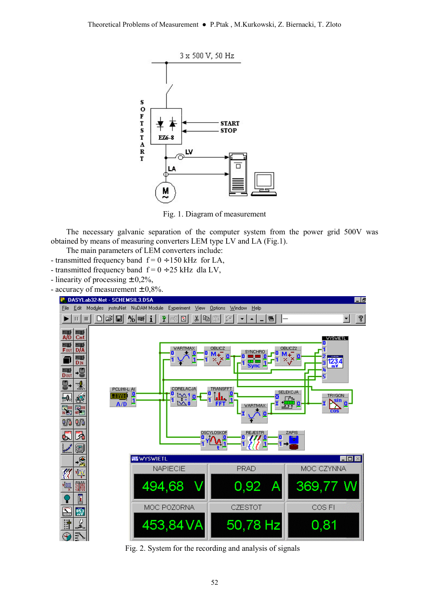

Fig. 1. Diagram of measurement

The necessary galvanic separation of the computer system from the power grid 500V was obtained by means of measuring converters LEM type LV and LA (Fig.1).

The main parameters of LEM converters include:

- transmitted frequency band  $f = 0 \div 150$  kHz for LA,
- transmitted frequency band  $f = 0 \div 25$  kHz dla LV,
- linearity of processing  $\pm$  0,2%,
- accuracy of measurement  $\pm$  0,8%.



Fig. 2. System for the recording and analysis of signals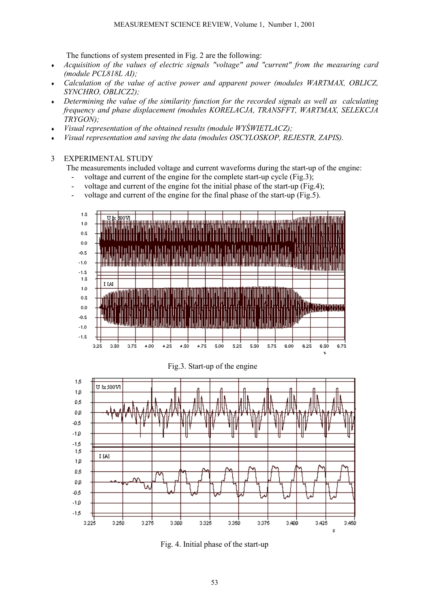The functions of system presented in Fig. 2 are the following:

- ♦ *Acquisition of the values of electric signals "voltage" and "current" from the measuring card (module PCL818L AI);*
- Calculation of the value of active power and apparent power (modules WARTMAX, OBLICZ, *SYNCHRO, OBLICZ2);*
- Determining the value of the similarity function for the recorded signals as well as calculating *frequency and phase displacement (modules KORELACJA, TRANSFFT, WARTMAX, SELEKCJA TRYGON);*
- ♦ *Visual representation of the obtained results (module WYŚWIETLACZ);*
- Visual representation and saving the data (modules OSCYLOSKOP, REJESTR, ZAPIS).
- 3 EXPERIMENTAL STUDY

The measurements included voltage and current waveforms during the start-up of the engine:

- voltage and current of the engine for the complete start-up cycle  $(Fig.3)$ ;
- voltage and current of the engine fot the initial phase of the start-up (Fig.4);
- voltage and current of the engine for the final phase of the start-up (Fig.5).







Fig. 4. Initial phase of the start-up